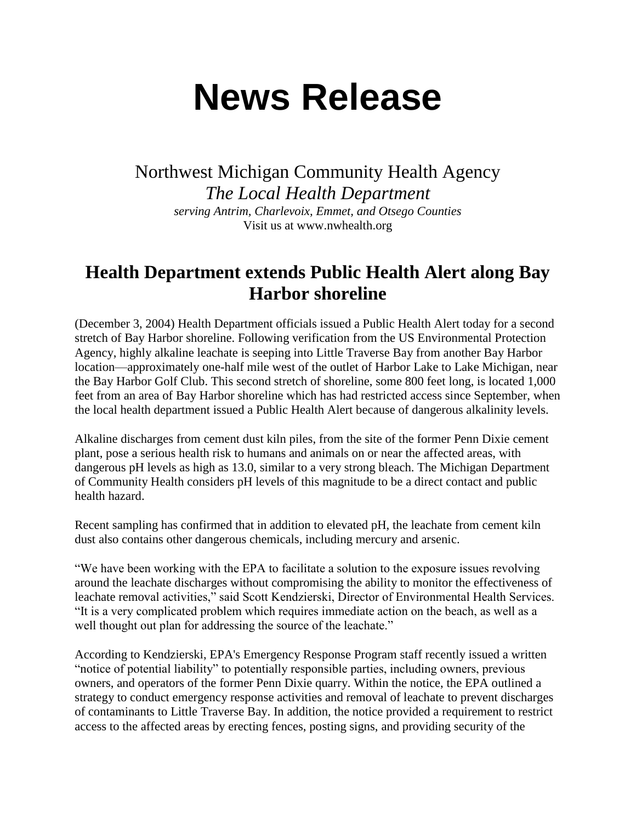## **News Release**

Northwest Michigan Community Health Agency *The Local Health Department serving Antrim, Charlevoix, Emmet, and Otsego Counties* Visit us at www.nwhealth.org

## **Health Department extends Public Health Alert along Bay Harbor shoreline**

(December 3, 2004) Health Department officials issued a Public Health Alert today for a second stretch of Bay Harbor shoreline. Following verification from the US Environmental Protection Agency, highly alkaline leachate is seeping into Little Traverse Bay from another Bay Harbor location—approximately one-half mile west of the outlet of Harbor Lake to Lake Michigan, near the Bay Harbor Golf Club. This second stretch of shoreline, some 800 feet long, is located 1,000 feet from an area of Bay Harbor shoreline which has had restricted access since September, when the local health department issued a Public Health Alert because of dangerous alkalinity levels.

Alkaline discharges from cement dust kiln piles, from the site of the former Penn Dixie cement plant, pose a serious health risk to humans and animals on or near the affected areas, with dangerous pH levels as high as 13.0, similar to a very strong bleach. The Michigan Department of Community Health considers pH levels of this magnitude to be a direct contact and public health hazard.

Recent sampling has confirmed that in addition to elevated pH, the leachate from cement kiln dust also contains other dangerous chemicals, including mercury and arsenic.

"We have been working with the EPA to facilitate a solution to the exposure issues revolving around the leachate discharges without compromising the ability to monitor the effectiveness of leachate removal activities," said Scott Kendzierski, Director of Environmental Health Services. "It is a very complicated problem which requires immediate action on the beach, as well as a well thought out plan for addressing the source of the leachate."

According to Kendzierski, EPA's Emergency Response Program staff recently issued a written "notice of potential liability" to potentially responsible parties, including owners, previous owners, and operators of the former Penn Dixie quarry. Within the notice, the EPA outlined a strategy to conduct emergency response activities and removal of leachate to prevent discharges of contaminants to Little Traverse Bay. In addition, the notice provided a requirement to restrict access to the affected areas by erecting fences, posting signs, and providing security of the